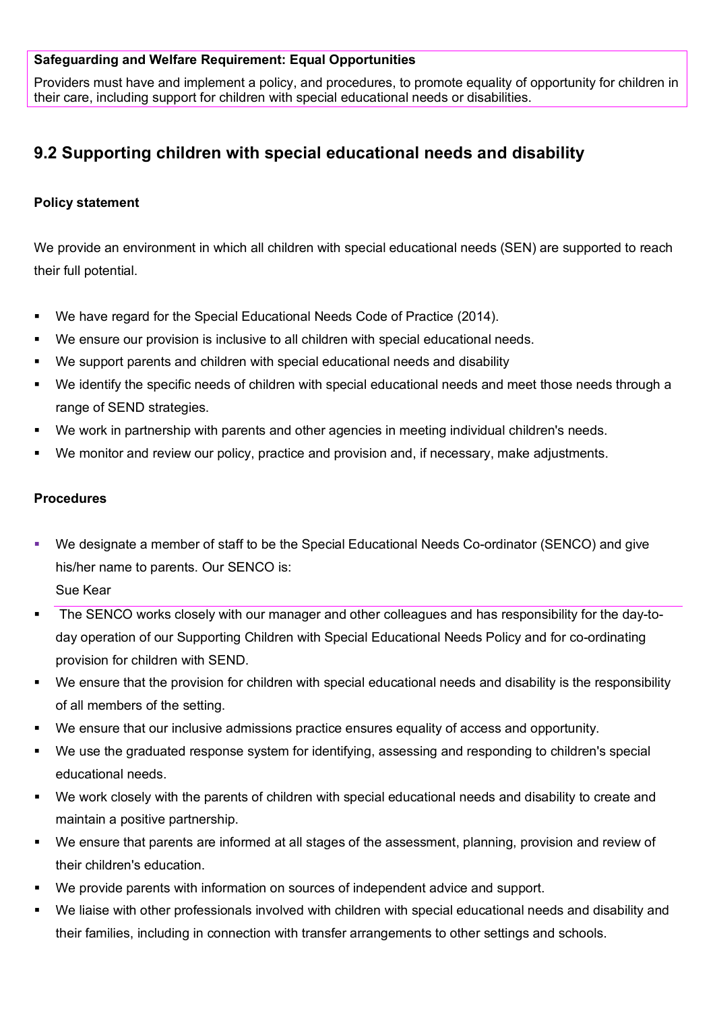### **Safeguarding and Welfare Requirement: Equal Opportunities**

Providers must have and implement a policy, and procedures, to promote equality of opportunity for children in their care, including support for children with special educational needs or disabilities.

# **9.2 Supporting children with special educational needs and disability**

# **Policy statement**

We provide an environment in which all children with special educational needs (SEN) are supported to reach their full potential.

- We have regard for the Special Educational Needs Code of Practice (2014).
- We ensure our provision is inclusive to all children with special educational needs.
- We support parents and children with special educational needs and disability
- We identify the specific needs of children with special educational needs and meet those needs through a range of SEND strategies.
- We work in partnership with parents and other agencies in meeting individual children's needs.
- We monitor and review our policy, practice and provision and, if necessary, make adjustments.

#### **Procedures**

- We designate a member of staff to be the Special Educational Needs Co-ordinator (SENCO) and give his/her name to parents. Our SENCO is: Sue Kear
- The SENCO works closely with our manager and other colleagues and has responsibility for the day-today operation of our Supporting Children with Special Educational Needs Policy and for co-ordinating provision for children with SEND.
- We ensure that the provision for children with special educational needs and disability is the responsibility of all members of the setting.
- We ensure that our inclusive admissions practice ensures equality of access and opportunity.
- We use the graduated response system for identifying, assessing and responding to children's special educational needs.
- We work closely with the parents of children with special educational needs and disability to create and maintain a positive partnership.
- We ensure that parents are informed at all stages of the assessment, planning, provision and review of their children's education.
- We provide parents with information on sources of independent advice and support.
- We liaise with other professionals involved with children with special educational needs and disability and their families, including in connection with transfer arrangements to other settings and schools.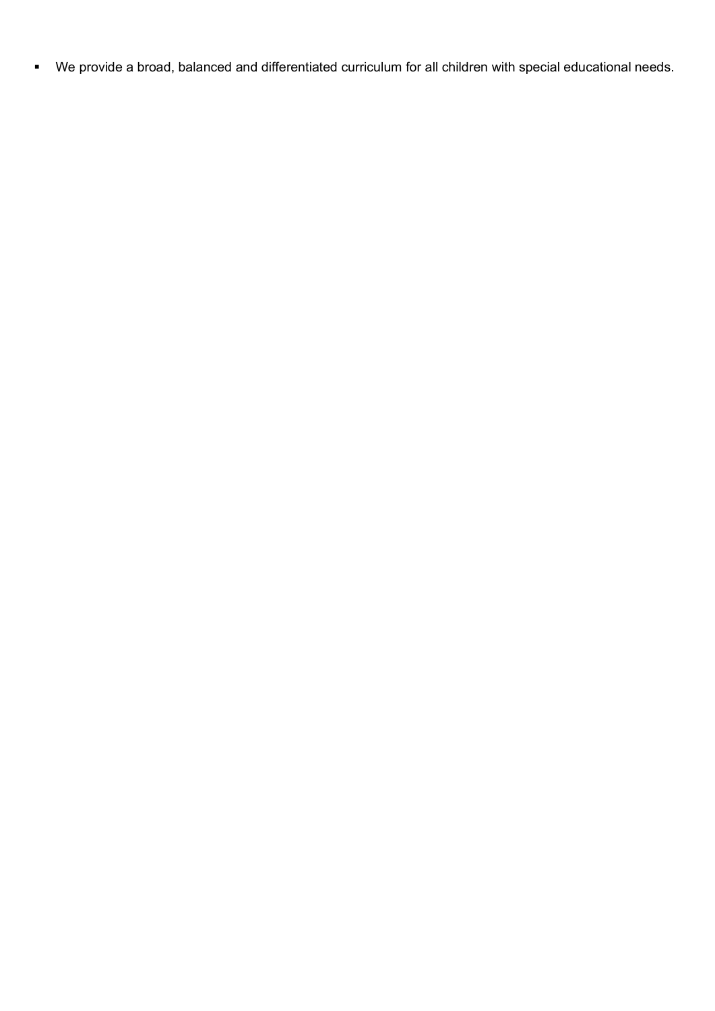We provide a broad, balanced and differentiated curriculum for all children with special educational needs.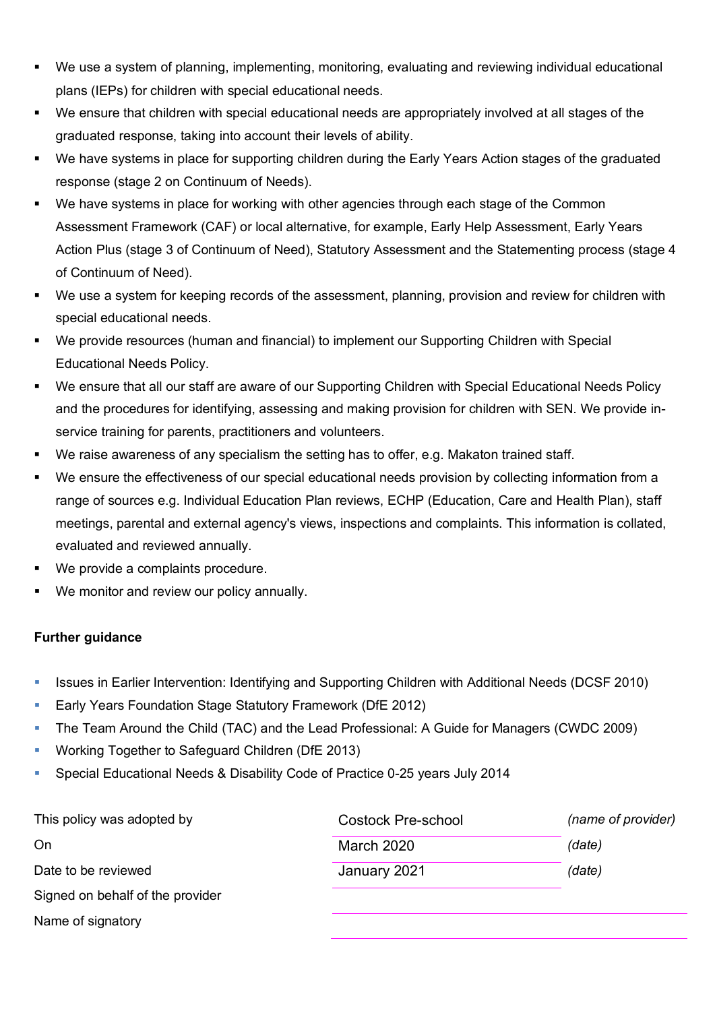- We use a system of planning, implementing, monitoring, evaluating and reviewing individual educational plans (IEPs) for children with special educational needs.
- We ensure that children with special educational needs are appropriately involved at all stages of the graduated response, taking into account their levels of ability.
- We have systems in place for supporting children during the Early Years Action stages of the graduated response (stage 2 on Continuum of Needs).
- We have systems in place for working with other agencies through each stage of the Common Assessment Framework (CAF) or local alternative, for example, Early Help Assessment, Early Years Action Plus (stage 3 of Continuum of Need), Statutory Assessment and the Statementing process (stage 4 of Continuum of Need).
- We use a system for keeping records of the assessment, planning, provision and review for children with special educational needs.
- We provide resources (human and financial) to implement our Supporting Children with Special Educational Needs Policy.
- We ensure that all our staff are aware of our Supporting Children with Special Educational Needs Policy and the procedures for identifying, assessing and making provision for children with SEN. We provide inservice training for parents, practitioners and volunteers.
- We raise awareness of any specialism the setting has to offer, e.g. Makaton trained staff.
- We ensure the effectiveness of our special educational needs provision by collecting information from a range of sources e.g. Individual Education Plan reviews, ECHP (Education, Care and Health Plan), staff meetings, parental and external agency's views, inspections and complaints. This information is collated, evaluated and reviewed annually.
- We provide a complaints procedure.
- We monitor and review our policy annually.

# **Further guidance**

- **In Its and Support Intervention: Identifying and Supporting Children with Additional Needs (DCSF 2010)**
- **Early Years Foundation Stage Statutory Framework (DfE 2012)**
- The Team Around the Child (TAC) and the Lead Professional: A Guide for Managers (CWDC 2009)
- **Working Together to Safeguard Children (DfE 2013)**
- Special Educational Needs & Disability Code of Practice 0-25 years July 2014

| This policy was adopted by       | <b>Costock Pre-school</b> | (name of provider) |
|----------------------------------|---------------------------|--------------------|
| On                               | <b>March 2020</b>         | (date)             |
| Date to be reviewed              | January 2021              | (date)             |
| Signed on behalf of the provider |                           |                    |
| Name of signatory                |                           |                    |